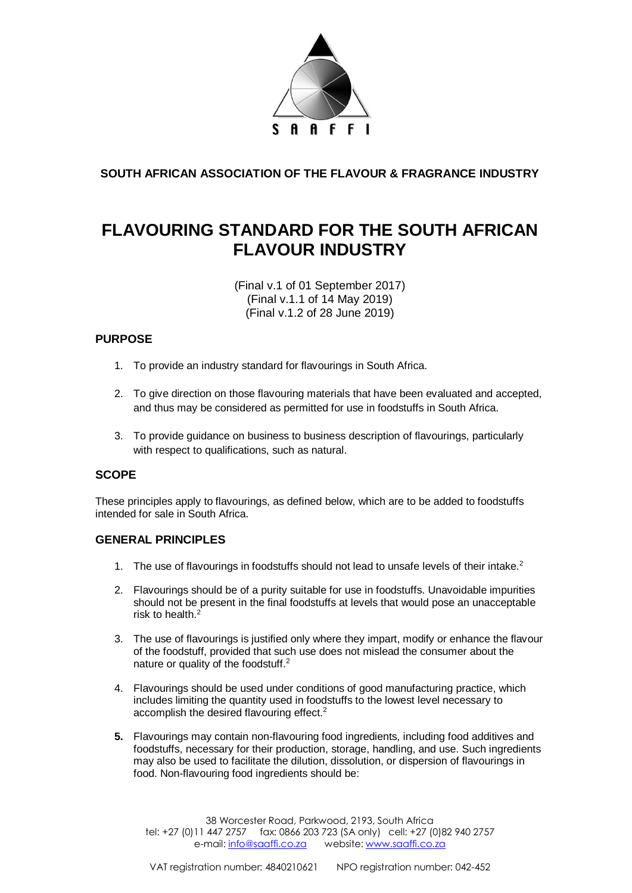

**SOUTH AFRICAN ASSOCIATION OF THE FLAVOUR & FRAGRANCE INDUSTRY**

# **FLAVOURING STANDARD FOR THE SOUTH AFRICAN FLAVOUR INDUSTRY**

(Final v.1 of 01 September 2017) (Final v.1.1 of 14 May 2019) (Final v.1.2 of 28 June 2019)

# **PURPOSE**

- 1. To provide an industry standard for flavourings in South Africa.
- 2. To give direction on those flavouring materials that have been evaluated and accepted, and thus may be considered as permitted for use in foodstuffs in South Africa.
- 3. To provide guidance on business to business description of flavourings, particularly with respect to qualifications, such as natural.

## **SCOPE**

These principles apply to flavourings, as defined below, which are to be added to foodstuffs intended for sale in South Africa.

## **GENERAL PRINCIPLES**

- 1. The use of flavourings in foodstuffs should not lead to unsafe levels of their intake.<sup>2</sup>
- 2. Flavourings should be of a purity suitable for use in foodstuffs. Unavoidable impurities should not be present in the final foodstuffs at levels that would pose an unacceptable risk to health  $2$
- 3. The use of flavourings is justified only where they impart, modify or enhance the flavour of the foodstuff, provided that such use does not mislead the consumer about the nature or quality of the foodstuff.<sup>2</sup>
- 4. Flavourings should be used under conditions of good manufacturing practice, which includes limiting the quantity used in foodstuffs to the lowest level necessary to accomplish the desired flavouring effect.<sup>2</sup>
- **5.** Flavourings may contain non-flavouring food ingredients, including food additives and foodstuffs, necessary for their production, storage, handling, and use. Such ingredients may also be used to facilitate the dilution, dissolution, or dispersion of flavourings in food. Non-flavouring food ingredients should be:

38 Worcester Road, Parkwood, 2193, South Africa tel: +27 (0)11 447 2757 fax: 0866 203 723 (SA only) cell: +27 (0)82 940 2757 e-mail: [info@saaffi.co.za](mailto:info@saaffi.co.za) website: [www.saaffi.co.za](http://www.saaffi.co.za/)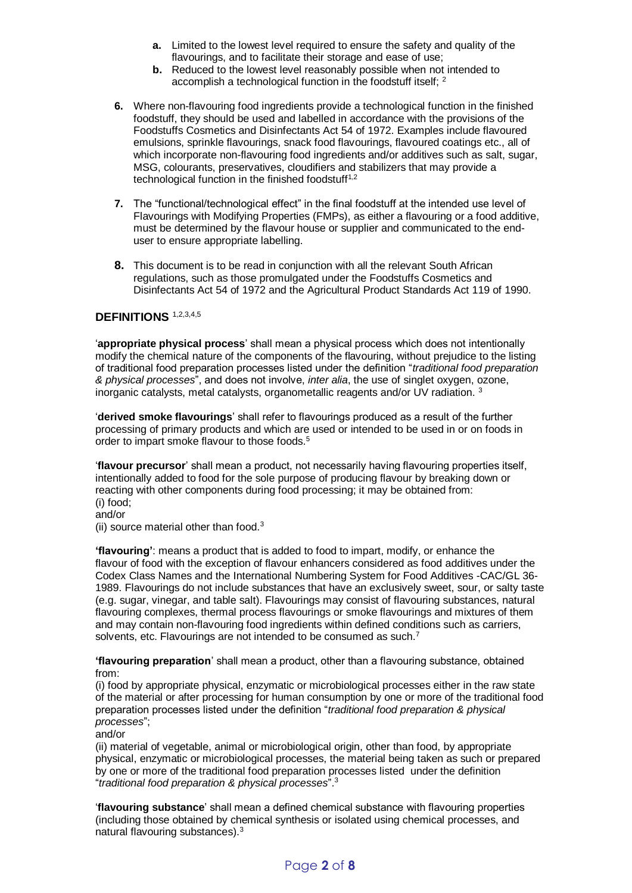- **a.** Limited to the lowest level required to ensure the safety and quality of the flavourings, and to facilitate their storage and ease of use;
- **b.** Reduced to the lowest level reasonably possible when not intended to accomplish a technological function in the foodstuff itself; <sup>2</sup>
- **6.** Where non-flavouring food ingredients provide a technological function in the finished foodstuff, they should be used and labelled in accordance with the provisions of the Foodstuffs Cosmetics and Disinfectants Act 54 of 1972. Examples include flavoured emulsions, sprinkle flavourings, snack food flavourings, flavoured coatings etc., all of which incorporate non-flavouring food ingredients and/or additives such as salt, sugar, MSG, colourants, preservatives, cloudifiers and stabilizers that may provide a technological function in the finished foodstuff<sup>1,2</sup>
- **7.** The "functional/technological effect" in the final foodstuff at the intended use level of Flavourings with Modifying Properties (FMPs), as either a flavouring or a food additive, must be determined by the flavour house or supplier and communicated to the enduser to ensure appropriate labelling.
- **8.** This document is to be read in conjunction with all the relevant South African regulations, such as those promulgated under the Foodstuffs Cosmetics and Disinfectants Act 54 of 1972 and the Agricultural Product Standards Act 119 of 1990.

#### **DEFINITIONS** 1,2,3,4,5

'**appropriate physical process**' shall mean a physical process which does not intentionally modify the chemical nature of the components of the flavouring, without prejudice to the listing of traditional food preparation processes listed under the definition "*traditional food preparation & physical processes*", and does not involve, *inter alia*, the use of singlet oxygen, ozone, inorganic catalysts, metal catalysts, organometallic reagents and/or UV radiation. <sup>3</sup>

'**derived smoke flavourings**' shall refer to flavourings produced as a result of the further processing of primary products and which are used or intended to be used in or on foods in order to impart smoke flavour to those foods.<sup>5</sup>

'**flavour precursor**' shall mean a product, not necessarily having flavouring properties itself, intentionally added to food for the sole purpose of producing flavour by breaking down or reacting with other components during food processing; it may be obtained from: (i) food;

and/or

(ii) source material other than food. $3$ 

**'flavouring'**: means a product that is added to food to impart, modify, or enhance the flavour of food with the exception of flavour enhancers considered as food additives under the Codex Class Names and the International Numbering System for Food Additives -CAC/GL 36- 1989. Flavourings do not include substances that have an exclusively sweet, sour, or salty taste (e.g. sugar, vinegar, and table salt). Flavourings may consist of flavouring substances, natural flavouring complexes, thermal process flavourings or smoke flavourings and mixtures of them and may contain non-flavouring food ingredients within defined conditions such as carriers, solvents, etc. Flavourings are not intended to be consumed as such.<sup>7</sup>

**'flavouring preparation**' shall mean a product, other than a flavouring substance, obtained from:

(i) food by appropriate physical, enzymatic or microbiological processes either in the raw state of the material or after processing for human consumption by one or more of the traditional food preparation processes listed under the definition "*traditional food preparation & physical processes*";

and/or

(ii) material of vegetable, animal or microbiological origin, other than food, by appropriate physical, enzymatic or microbiological processes, the material being taken as such or prepared by one or more of the traditional food preparation processes listed under the definition "*traditional food preparation & physical processes*".<sup>3</sup>

'**flavouring substance**' shall mean a defined chemical substance with flavouring properties (including those obtained by chemical synthesis or isolated using chemical processes, and natural flavouring substances).3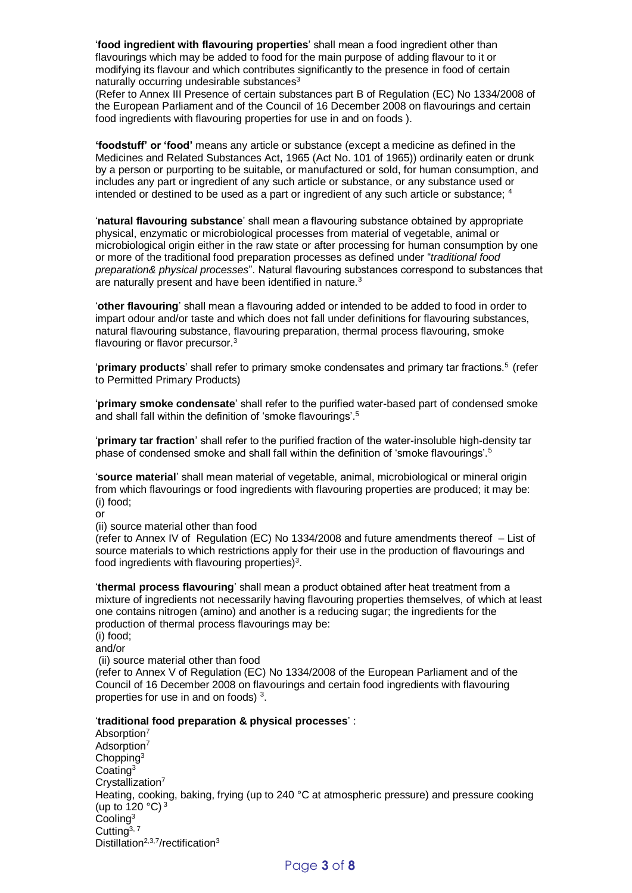'**food ingredient with flavouring properties**' shall mean a food ingredient other than flavourings which may be added to food for the main purpose of adding flavour to it or modifying its flavour and which contributes significantly to the presence in food of certain naturally occurring undesirable substances<sup>3</sup>

(Refer to Annex III Presence of certain substances part B of Regulation (EC) No 1334/2008 of the European Parliament and of the Council of 16 December 2008 on flavourings and certain food ingredients with flavouring properties for use in and on foods ).

**'foodstuff' or 'food'** means any article or substance (except a medicine as defined in the Medicines and Related Substances Act, 1965 (Act No. 101 of 1965)) ordinarily eaten or drunk by a person or purporting to be suitable, or manufactured or sold, for human consumption, and includes any part or ingredient of any such article or substance, or any substance used or intended or destined to be used as a part or ingredient of any such article or substance; <sup>4</sup>

'**natural flavouring substance**' shall mean a flavouring substance obtained by appropriate physical, enzymatic or microbiological processes from material of vegetable, animal or microbiological origin either in the raw state or after processing for human consumption by one or more of the traditional food preparation processes as defined under "*traditional food preparation& physical processes*". Natural flavouring substances correspond to substances that are naturally present and have been identified in nature.<sup>3</sup>

'**other flavouring**' shall mean a flavouring added or intended to be added to food in order to impart odour and/or taste and which does not fall under definitions for flavouring substances, natural flavouring substance, flavouring preparation, thermal process flavouring, smoke flavouring or flavor precursor.<sup>3</sup>

'**primary products**' shall refer to primary smoke condensates and primary tar fractions.<sup>5</sup> (refer to Permitted Primary Products)

'**primary smoke condensate**' shall refer to the purified water-based part of condensed smoke and shall fall within the definition of 'smoke flavourings'.<sup>5</sup>

'**primary tar fraction**' shall refer to the purified fraction of the water-insoluble high-density tar phase of condensed smoke and shall fall within the definition of 'smoke flavourings'.<sup>5</sup>

'**source material**' shall mean material of vegetable, animal, microbiological or mineral origin from which flavourings or food ingredients with flavouring properties are produced; it may be: (i) food;

or

(ii) source material other than food

(refer to Annex IV of Regulation (EC) No 1334/2008 and future amendments thereof – List of source materials to which restrictions apply for their use in the production of flavourings and food ingredients with flavouring properties) $3$ .

'**thermal process flavouring**' shall mean a product obtained after heat treatment from a mixture of ingredients not necessarily having flavouring properties themselves, of which at least one contains nitrogen (amino) and another is a reducing sugar; the ingredients for the production of thermal process flavourings may be:

(i) food; and/or

(ii) source material other than food

(refer to Annex V of Regulation (EC) No 1334/2008 of the European Parliament and of the Council of 16 December 2008 on flavourings and certain food ingredients with flavouring properties for use in and on foods)  $3$ .

#### '**traditional food preparation & physical processes**' :

Absorption<sup>7</sup> Adsorption<sup>7</sup> Chopping<sup>3</sup> Coating<sup>3</sup> Crystallization<sup>7</sup> Heating, cooking, baking, frying (up to 240 °C at atmospheric pressure) and pressure cooking (up to  $120 °C$ )<sup>3</sup> Cooling<sup>3</sup> Cutting $3, 7$ Distillation<sup>2,3,7</sup>/rectification<sup>3</sup>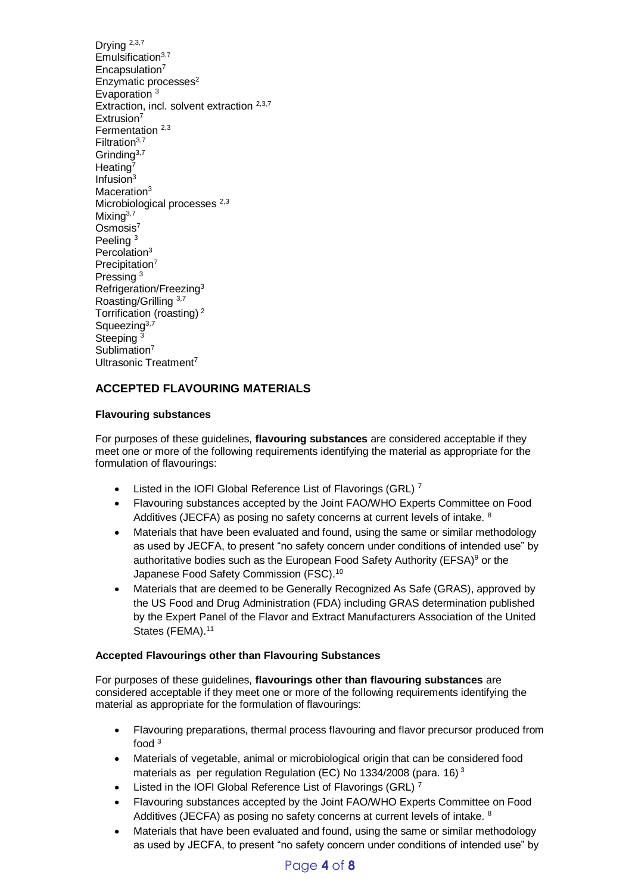Drying 2,3,7 Emulsification $3,7$ Encapsulation<sup>7</sup> Enzymatic processes<sup>2</sup> Evaporation <sup>3</sup> Extraction, incl. solvent extraction <sup>2,3,7</sup> Extrusion<sup>7</sup> Fermentation<sup>2,3</sup> Filtration3,7 Grinding<sup>3,7</sup> Heating<sup>7</sup> Infusion $3$ Maceration<sup>3</sup> Microbiological processes <sup>2,3</sup> Mixing $3,7$ Osmosis<sup>7</sup> Peeling <sup>3</sup> Percolation<sup>3</sup> Precipitation<sup>7</sup> Pressing <sup>3</sup> Refrigeration/Freezing<sup>3</sup> Roasting/Grilling 3,7 Torrification (roasting) <sup>2</sup> Squeezing<sup>3,7</sup> Steeping<sup>3</sup> Sublimation<sup>7</sup> Ultrasonic Treatment<sup>7</sup>

# **ACCEPTED FLAVOURING MATERIALS**

#### **Flavouring substances**

For purposes of these guidelines, **flavouring substances** are considered acceptable if they meet one or more of the following requirements identifying the material as appropriate for the formulation of flavourings:

- Listed in the IOFI Global Reference List of Flavorings (GRL)<sup>7</sup>
- Flavouring substances accepted by the Joint FAO/WHO Experts Committee on Food Additives (JECFA) as posing no safety concerns at current levels of intake. <sup>8</sup>
- Materials that have been evaluated and found, using the same or similar methodology as used by JECFA, to present "no safety concern under conditions of intended use" by authoritative bodies such as the European Food Safety Authority (EFSA)<sup>9</sup> or the Japanese Food Safety Commission (FSC).<sup>10</sup>
- Materials that are deemed to be Generally Recognized As Safe (GRAS), approved by the US Food and Drug Administration (FDA) including GRAS determination published by the Expert Panel of the Flavor and Extract Manufacturers Association of the United States (FEMA).<sup>11</sup>

#### **Accepted Flavourings other than Flavouring Substances**

For purposes of these guidelines, **flavourings other than flavouring substances** are considered acceptable if they meet one or more of the following requirements identifying the material as appropriate for the formulation of flavourings:

- Flavouring preparations, thermal process flavouring and flavor precursor produced from food <sup>3</sup>
- Materials of vegetable, animal or microbiological origin that can be considered food materials as per regulation Regulation (EC) No 1334/2008 (para, 16)<sup>3</sup>
- Listed in the IOFI Global Reference List of Flavorings (GRL)<sup>7</sup>
- Flavouring substances accepted by the Joint FAO/WHO Experts Committee on Food Additives (JECFA) as posing no safety concerns at current levels of intake. <sup>8</sup>
- Materials that have been evaluated and found, using the same or similar methodology as used by JECFA, to present "no safety concern under conditions of intended use" by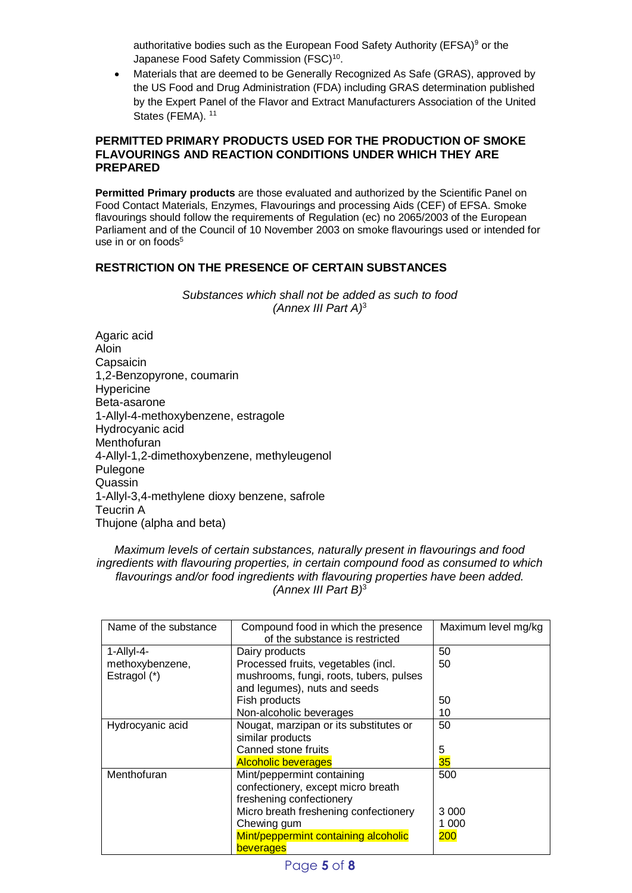authoritative bodies such as the European Food Safety Authority (EFSA) $9$  or the Japanese Food Safety Commission (FSC)<sup>10</sup>.

 Materials that are deemed to be Generally Recognized As Safe (GRAS), approved by the US Food and Drug Administration (FDA) including GRAS determination published by the Expert Panel of the Flavor and Extract Manufacturers Association of the United States (FEMA).<sup>11</sup>

#### **PERMITTED PRIMARY PRODUCTS USED FOR THE PRODUCTION OF SMOKE FLAVOURINGS AND REACTION CONDITIONS UNDER WHICH THEY ARE PREPARED**

**Permitted Primary products** are those evaluated and authorized by the Scientific Panel on Food Contact Materials, Enzymes, Flavourings and processing Aids (CEF) of EFSA. Smoke flavourings should follow the requirements of Regulation (ec) no 2065/2003 of the European Parliament and of the Council of 10 November 2003 on smoke flavourings used or intended for use in or on  $f$ oods $5$ 

# **RESTRICTION ON THE PRESENCE OF CERTAIN SUBSTANCES**

*Substances which shall not be added as such to food (Annex III Part A)*<sup>3</sup>

Agaric acid Aloin **Capsaicin** 1,2-Benzopyrone, coumarin **Hypericine** Beta-asarone 1-Allyl-4-methoxybenzene, estragole Hydrocyanic acid **Menthofuran** 4-Allyl-1,2-dimethoxybenzene, methyleugenol Pulegone Quassin 1-Allyl-3,4-methylene dioxy benzene, safrole Teucrin A Thujone (alpha and beta)

## *Maximum levels of certain substances, naturally present in flavourings and food ingredients with flavouring properties, in certain compound food as consumed to which flavourings and/or food ingredients with flavouring properties have been added. (Annex III Part B)*<sup>3</sup>

| Name of the substance | Compound food in which the presence<br>of the substance is restricted | Maximum level mg/kg |
|-----------------------|-----------------------------------------------------------------------|---------------------|
| $1-AIlyI-4-$          | Dairy products                                                        | 50                  |
| methoxybenzene,       | Processed fruits, vegetables (incl.                                   | 50                  |
| Estragol (*)          | mushrooms, fungi, roots, tubers, pulses                               |                     |
|                       | and legumes), nuts and seeds                                          |                     |
|                       | Fish products                                                         | 50                  |
|                       | Non-alcoholic beverages                                               | 10                  |
| Hydrocyanic acid      | Nougat, marzipan or its substitutes or                                | 50                  |
|                       | similar products                                                      |                     |
|                       | Canned stone fruits                                                   | 5                   |
|                       | <b>Alcoholic beverages</b>                                            | 35                  |
| Menthofuran           | Mint/peppermint containing                                            | 500                 |
|                       | confectionery, except micro breath                                    |                     |
|                       | freshening confectionery                                              |                     |
|                       | Micro breath freshening confectionery                                 | 3 0 0 0             |
|                       | Chewing gum                                                           | 1 000               |
|                       | Mint/peppermint containing alcoholic                                  | 200                 |
|                       | beverages                                                             |                     |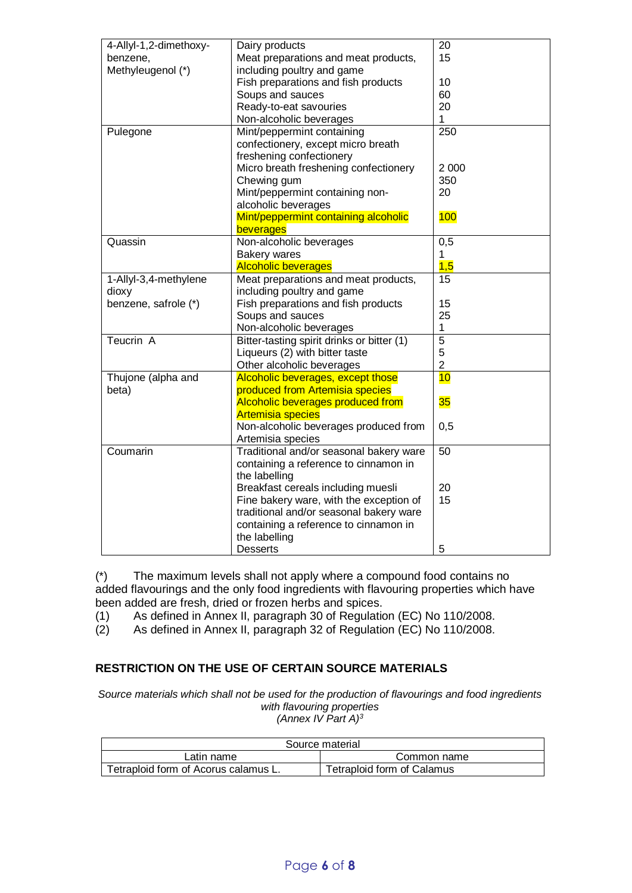| 4-Allyl-1,2-dimethoxy- | Dairy products                                               | 20             |  |
|------------------------|--------------------------------------------------------------|----------------|--|
| benzene,               | Meat preparations and meat products,                         | 15             |  |
| Methyleugenol (*)      | including poultry and game                                   |                |  |
|                        | Fish preparations and fish products                          | 10             |  |
|                        | Soups and sauces                                             | 60             |  |
|                        | Ready-to-eat savouries                                       | 20             |  |
|                        | Non-alcoholic beverages                                      | 1              |  |
| Pulegone               | Mint/peppermint containing                                   | 250            |  |
|                        | confectionery, except micro breath                           |                |  |
|                        | freshening confectionery                                     |                |  |
|                        | Micro breath freshening confectionery                        | 2 0 0 0        |  |
|                        | Chewing gum                                                  | 350            |  |
|                        | Mint/peppermint containing non-                              | 20             |  |
|                        | alcoholic beverages                                          |                |  |
|                        | Mint/peppermint containing alcoholic                         | 100            |  |
|                        | beverages                                                    |                |  |
| Quassin                | Non-alcoholic beverages                                      | 0,5            |  |
|                        | <b>Bakery wares</b>                                          | 1              |  |
|                        | <b>Alcoholic beverages</b>                                   | 1,5            |  |
| 1-Allyl-3,4-methylene  | Meat preparations and meat products,                         | 15             |  |
| dioxy                  | including poultry and game                                   |                |  |
| benzene, safrole (*)   | Fish preparations and fish products                          | 15             |  |
|                        | Soups and sauces                                             | 25             |  |
|                        | Non-alcoholic beverages                                      | 1              |  |
| Teucrin A              | $\overline{5}$<br>Bitter-tasting spirit drinks or bitter (1) |                |  |
|                        | Liqueurs (2) with bitter taste                               | 5              |  |
|                        | Other alcoholic beverages                                    | $\overline{2}$ |  |
| Thujone (alpha and     | Alcoholic beverages, except those                            | 10             |  |
| beta)                  | produced from Artemisia species                              |                |  |
|                        | Alcoholic beverages produced from                            | 35             |  |
|                        | <b>Artemisia species</b>                                     |                |  |
|                        | Non-alcoholic beverages produced from                        | 0,5            |  |
|                        | Artemisia species                                            |                |  |
| Coumarin               | Traditional and/or seasonal bakery ware                      | 50             |  |
|                        | containing a reference to cinnamon in                        |                |  |
|                        | the labelling                                                |                |  |
|                        | Breakfast cereals including muesli                           | 20             |  |
|                        | Fine bakery ware, with the exception of                      | 15             |  |
|                        | traditional and/or seasonal bakery ware                      |                |  |
|                        | containing a reference to cinnamon in                        |                |  |
|                        | the labelling                                                |                |  |
|                        |                                                              |                |  |
|                        | <b>Desserts</b>                                              | 5              |  |

(\*) The maximum levels shall not apply where a compound food contains no added flavourings and the only food ingredients with flavouring properties which have been added are fresh, dried or frozen herbs and spices.

(1) As defined in Annex II, paragraph 30 of Regulation (EC) No 110/2008.

(2) As defined in Annex II, paragraph 32 of Regulation (EC) No 110/2008.

# **RESTRICTION ON THE USE OF CERTAIN SOURCE MATERIALS**

*Source materials which shall not be used for the production of flavourings and food ingredients with flavouring properties (Annex IV Part A)<sup>3</sup>*

| Source material                      |                            |  |  |  |
|--------------------------------------|----------------------------|--|--|--|
| Latin name                           | Common name                |  |  |  |
| Tetraploid form of Acorus calamus L. | Tetraploid form of Calamus |  |  |  |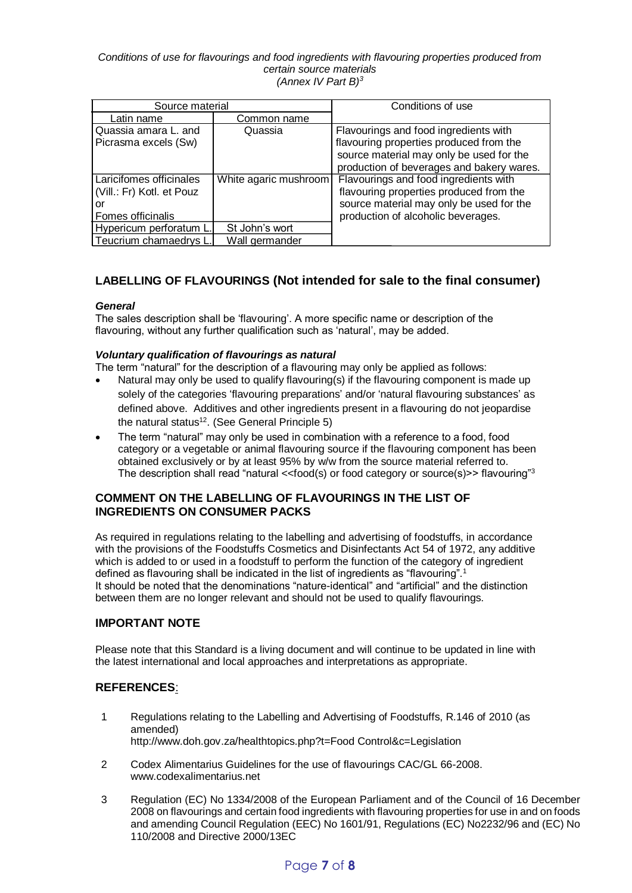#### *Conditions of use for flavourings and food ingredients with flavouring properties produced from certain source materials (Annex IV Part B)<sup>3</sup>*

| Source material           |                       | Conditions of use                         |
|---------------------------|-----------------------|-------------------------------------------|
| Latin name                | Common name           |                                           |
| Quassia amara L. and      | Quassia               | Flavourings and food ingredients with     |
| Picrasma excels (Sw)      |                       | flavouring properties produced from the   |
|                           |                       | source material may only be used for the  |
|                           |                       | production of beverages and bakery wares. |
| Laricifomes officinales   | White agaric mushroom | Flavourings and food ingredients with     |
| (Vill.: Fr) Kotl. et Pouz |                       | flavouring properties produced from the   |
| or                        |                       | source material may only be used for the  |
| Fomes officinalis         |                       | production of alcoholic beverages.        |
| Hypericum perforatum L.   | St John's wort        |                                           |
| Teucrium chamaedrys L     | Wall germander        |                                           |

# **LABELLING OF FLAVOURINGS (Not intended for sale to the final consumer)**

## *General*

The sales description shall be 'flavouring'. A more specific name or description of the flavouring, without any further qualification such as 'natural', may be added.

#### *Voluntary qualification of flavourings as natural*

The term "natural" for the description of a flavouring may only be applied as follows:

- Natural may only be used to qualify flavouring(s) if the flavouring component is made up solely of the categories 'flavouring preparations' and/or 'natural flavouring substances' as defined above. Additives and other ingredients present in a flavouring do not jeopardise the natural status<sup>12</sup>. (See General Principle 5)
- The term "natural" may only be used in combination with a reference to a food, food category or a vegetable or animal flavouring source if the flavouring component has been obtained exclusively or by at least 95% by w/w from the source material referred to. The description shall read "natural <<food(s) or food category or source(s)>> flavouring"<sup>3</sup>

## **COMMENT ON THE LABELLING OF FLAVOURINGS IN THE LIST OF INGREDIENTS ON CONSUMER PACKS**

As required in regulations relating to the labelling and advertising of foodstuffs, in accordance with the provisions of the Foodstuffs Cosmetics and Disinfectants Act 54 of 1972, any additive which is added to or used in a foodstuff to perform the function of the category of ingredient defined as flavouring shall be indicated in the list of ingredients as "flavouring".<sup>1</sup> It should be noted that the denominations "nature-identical" and "artificial" and the distinction between them are no longer relevant and should not be used to qualify flavourings.

## **IMPORTANT NOTE**

Please note that this Standard is a living document and will continue to be updated in line with the latest international and local approaches and interpretations as appropriate.

## **REFERENCES**:

- 1 Regulations relating to the Labelling and Advertising of Foodstuffs, R.146 of 2010 (as amended) http://www.doh.gov.za/healthtopics.php?t=Food Control&c=Legislation
- 2 Codex Alimentarius Guidelines for the use of flavourings CAC/GL 66-2008. www.codexalimentarius.net
- 3 Regulation (EC) No 1334/2008 of the European Parliament and of the Council of 16 December 2008 on flavourings and certain food ingredients with flavouring properties for use in and on foods and amending Council Regulation (EEC) No 1601/91, Regulations (EC) No2232/96 and (EC) No 110/2008 and Directive 2000/13EC